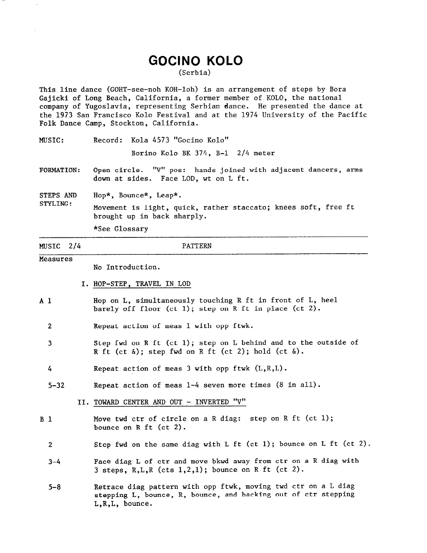## **GOCINO KOLO**

(Serbia)

This line dance (GOHT-see-noh KOH-loh) is an arrangement of steps by Bora Gajicki of Long Beach, California, a former member of KOLO, the national company of Yugoslavia, representing Serbian dance. He presented the dance at the 1973 San Francisco Kolo Festival and at the 1974 University of the Pacific Folk Dance Camp, Stockton, California.

MUSIC: Record: Kola 4573 "Gocino Kolo"

Borino Kolo BK 374, B-l 2/4 meter

- FORMATION: Open circle. "v" pos: hands joined with adjacent dancers, arms down at sides. Face LOD, wt on L ft.
- STEPS AND Hop\*, Bounce\*, Leap\*.
- STYLING: Movement is light, quick, rather staccato; knees soft, free ft brought up in back sharply.

\*See Glossary

## MUSIC 2/4 **Measures** PATTERN Al 2 3 4 5-32  $B<sub>1</sub>$ 2  $3 - 4$  $5 - 8$ I. HOP-STEP, TRAVEL IN LOD Hop on L, simultaneously touching R ft in front of L, heel barely off floor (ct 1); step on R ft in place (ct 2). Repeat action of meas 1 with opp ftwk. Step fwd on R ft (ct 1); step on L behind and to the outside of R ft (ct  $\delta$ ); step fwd on R ft (ct 2); hold (ct  $\delta$ ). Repeat action of meas 3 with opp ftwk (L,R,L). Repeat action of meas l-4 seven more times (8 in all). II. TOWARD CENTER AND OUT - INVERTED "V" No Introduction. Move twd ctr of circle on a R diag: step on R ft (ct 1); bounce on R ft (ct 2). Step fwd on the same diag with  $L$  ft (ct 1); bounce on  $L$  ft (ct 2). Face diag L of ctr and move bkwd away from ctr on a R diag with 3 steps,  $R,L,R$  (cts  $1,2,1$ ); bounce on R ft (ct 2). Retrace diag pattern with opp ftwk, moving twd ctr on a L diag stepping L, bounce, R, bounce, and backing out of ctr stepping L,R,L, bounce.